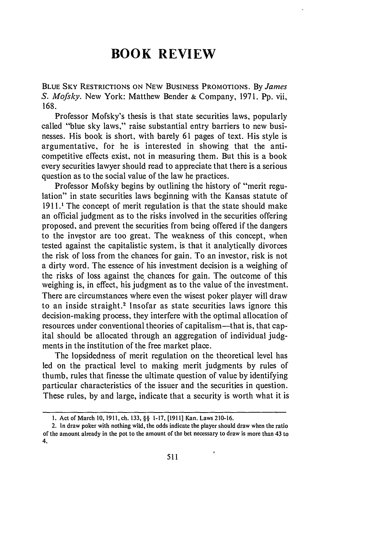## **BOOK REVIEW**

**BLUE SKY** RESTRICTIONS **ON** NEW BUSINESS PROMOTIONS. By *James S. Mofsky.* New York: Matthew Bender **&** Company, 1971. Pp. vii, 168.

Professor Mofsky's thesis is that state securities laws, popularly called "blue sky laws," raise substantial entry barriers to new businesses. His book is short, with barely **61** pages of text. His style is argumentative, for he is interested in showing that the anticompetitive effects exist, not in measuring them. But this is a book every securities lawyer should read to appreciate that there is a serious question as to the social value of the law he practices.

Professor Mofsky begins by outlining the history of "merit regulation" in state securities laws beginning with the Kansas statute of 1911.1 The concept of merit regulation is that the state should make an official judgment as to the risks involved in the securities offering proposed, and prevent the securities from being offered if the dangers to the investor are too great. The weakness of this concept, when tested against the capitalistic system, is that it analytically divorces the risk of loss from the chances for gain. To an investor, risk is not a dirty word. The essence of his investment decision is a weighing of the risks of loss against the chances for gain. The outcome of this weighing is, in effect, his judgment as to the value of the investment. There are circumstances where even the wisest poker player will draw to an inside straight. 2 Insofar as state securities laws ignore this decision-making process, they interfere with the optimal allocation of resources under conventional theories of capitalism-that is, that capital should be allocated through an aggregation of individual judgments in the institution of the free market place.

The lopsidedness of merit regulation on the theoretical level has led on the practical level to making merit judgments by rules of thumb, rules that finesse the ultimate question of value by identifying particular characteristics of the issuer and the securities in question. These rules, by and large, indicate that a security is worth what it is

ï

**I. Act** of March **10, 1911,ch. 133,** §§ **1-17, [1911]** Kan. Laws **210-16.**

<sup>2.</sup> In draw poker with nothing wild, the odds indicate the player should draw when the ratio of the amount already in the pot to the amount of the bet necessary to draw is more than **43** to 4.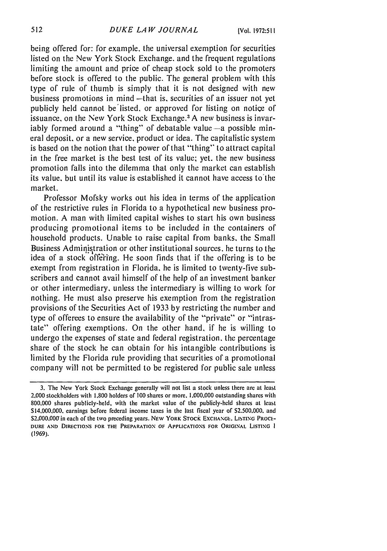being offered for: for example. the universal exemption for securities listed on the New York Stock Exchange. and the frequent regulations limiting the amount and price of cheap stock sold to the promoters before stock is offered to the public. The general problem with this type of rule of thumb is simply that it is not designed with new business promotions in mind -that is, securities of an issuer not yet publicly held cannot be'listed. or approved for listing on notice of issuance, on the New York Stock Exchange.3 A new business is invariably formed around a "thing" of debatable value-a possible mineral deposit, or a new service, product or idea. The capitalistic system is based on the notion that the power of that "thing" to attract capital in the free market is the best test of its value; yet. the new business promotion falls into the dilemma that only the market can establish its value, but until its value is established it cannot have access to'the market.

Professor Mofsky works out his idea in terms of the application of the restrictive rules in Florida to a hypothetical new business promotion. A man with limited capital wishes to start his own business producing promotional items to be included in the containers of household products. Unable to raise capital from banks, the Small Business Administration or other institutional sources, he turns to the idea of a stock offering. He soon finds that if the offering is to be exempt from registration in Florida. he is limited to twenty-five subscribers and cannot avail himself of the help of an investment banker or other intermediary, unless the intermediary is willing to work for nothing. He must also preserve his exemption from the registration provisions of the Securities Act of 1933 by restricting the number and type of offerees to ensure the availability of the "private" or "intrastate" offering exemptions. On the other hand, if he is willing to undergo the expenses of state and federal registration. the percentage share of the stock he can obtain for his intangible contributions is limited by the Florida rule providing that securities of a promotional company will not be permitted to be registered for public sale unless

**<sup>3.</sup>** The New York Stock Exchange generally will not list a stock unless there are at least **2.000** stockholders with **1,800** holders of **100** shares or more. **1.000.000** outstanding shares with **800,000** shares publicly-held, with the market value of the publicly-held shares at least \$14,000,000. earnings before federal income taxes in the last fiscal year of **S2.500.000.** and \$2.000,000 in each **of** the two preceding years. NEw YORK STOCK ExCfIANGI:. **LISTING PROCL.- DURE AND** DIRECTIONS FOR THE PREPARATION OF **APPLICATIONS** FOR **ORIGINAL LISTING I** (1969).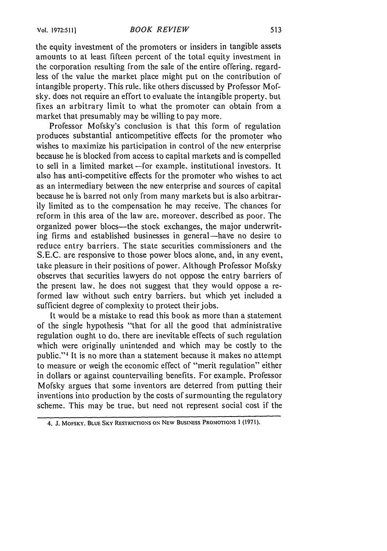the equity investment of the promoters or insiders in tangible assets amounts to at least fifteen percent of the total equity investment in the corporation resulting from the sale of the entire offering, regardless of the value the market place might put on the contribution of intangible property. This rule. like others discussed by Professor Mofsky. does not require an effort to evaluate the intangible property, but fixes an arbitrary limit to what the promoter can obtain from a market that presumably may be willing to pay more.

Professor Mofsky's conclusion is that this form of regulation produces substantial anticompetitive effects for the promoter who wishes to maximize his participation in control of the new enterprise because he is blocked from access to capital markets and is compelled to sell in a limited market-for example, institutional investors. It also has anti-competitive effects for the promoter who wishes to act as an intermediary between the new enterprise and sources of capital because he is barred not only from many markets but is also arbitrarily limited as to the compensation he may receive. The chances for reform in this area of the law are, moreover, described as poor. The organized power blocs-the stock exchanges, the major underwriting firms and established businesses in general—have no desire to reduce entry barriers. The state securities commissioners and the S.E.C. are responsive to those power blocs alone, and, in any event, take pleasure in their positions of power. Although Professor Mofsky observes that securities lawyers do not oppose the entry barriers of the present law. he does not suggest that they would oppose a reformed law without such entry barriers, but which yet included a sufficient degree of complexity to protect their jobs.

It would be a mistake to read this book as more than a statement of the single hypothesis "that for all the good that administrative regulation ought to *do.* there are inevitable effects of such regulation which were originally unintended and which may be costly to the public."' It is no more than a statement because it makes no attempt to measure or weigh the economic effect of "merit regulation" either in dollars or against countervailing benefits. For example, Professor Mofsky argues that some inventors are deterred from putting their inventions into production by the costs of surmounting the regulatory scheme. This may be true. but need not represent social cost if the

**<sup>4.</sup> J. MOFSKY. BLUE SKY** RESTRICTIONS **ON** NEw BUSINESS PROMOTIONS **1 (1971).**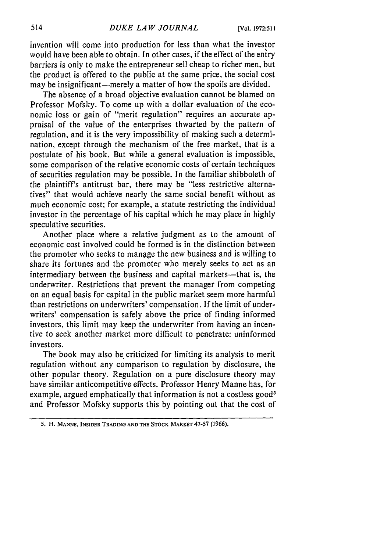invention will come into production for less than what the investor would have been able to obtain. In other cases, if the effect of the entry barriers is only to make the entrepreneur sell cheap to richer men, but the product is offered to the public at the same price, the social cost may be insignificant—merely a matter of how the spoils are divided.

The absence of a broad objective evaluation cannot be blamed on Professor Mofsky. To come up with a dollar evaluation of the economic loss or gain of "merit regulation" requires an accurate appraisal of the value of the enterprises thwarted by the pattern of regulation, and it is the very impossibility of making such a determination, except through the mechanism of the free market, that is a postulate of his book. But while a general evaluation is impossible, some comparison of the relative economic costs of certain techniques of securities regulation may be possible. In the familiar shibboleth of the plaintiffs antitrust bar, there may be "less restrictive alternatives" that would achieve nearly the same social benefit without as much economic cost; for example, a statute restricting the individual investor in the percentage of his capital which he may place in highly speculative securities.

Another place where a relative judgment as to the amount of economic cost involved could be formed is in the distinction between the promoter who seeks to manage the new business and is willing to share its fortunes and the promoter who merely seeks to act as an intermediary between the business and capital markets—that is, the underwriter. Restrictions that prevent the manager from competing on an equal basis for capital in the public market seem more harmful than restrictions on underwriters' compensation. If the limit of underwriters' compensation is safely above the price of finding informed investors, this limit may keep the underwriter from having an incentive to seek another market more difficult to penetrate: uninformed investors.

The book may also be criticized for limiting its analysis to merit regulation without any comparison to regulation by disclosure, the other popular theory. Regulation on a pure disclosure theory may have similar anticompetitive effects. Professor Henry Manne has, for example, argued emphatically that information is not a costless good<sup>5</sup> and Professor Mofsky supports this by pointing out that the cost of

**<sup>5.</sup> H. MANNE, INSIDER TRADING AND THE** STOCK **MARKET 47-57 (1966).**